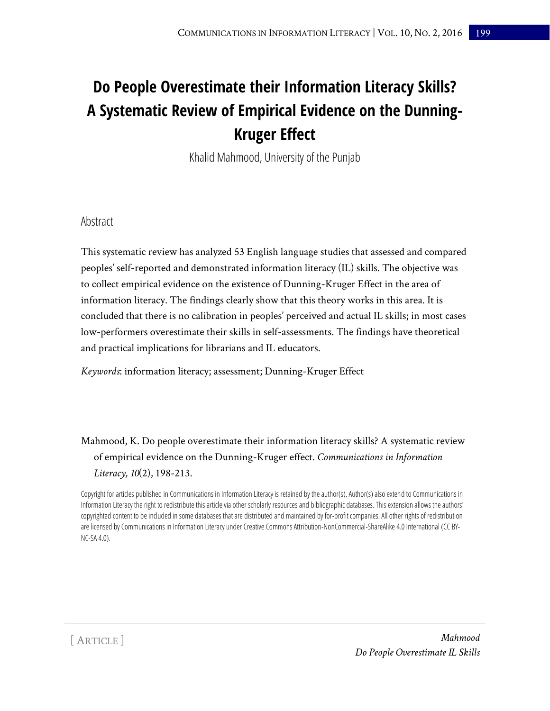# **Do People Overestimate their Information Literacy Skills? A Systematic Review of Empirical Evidence on the Dunning-Kruger Effect**

Khalid Mahmood, University of the Punjab

## Abstract

This systematic review has analyzed 53 English language studies that assessed and compared peoples' self-reported and demonstrated information literacy (IL) skills. The objective was to collect empirical evidence on the existence of Dunning-Kruger Effect in the area of information literacy. The findings clearly show that this theory works in this area. It is concluded that there is no calibration in peoples' perceived and actual IL skills; in most cases low-performers overestimate their skills in self-assessments. The findings have theoretical and practical implications for librarians and IL educators.

*Keywords*: information literacy; assessment; Dunning-Kruger Effect

# Mahmood, K. Do people overestimate their information literacy skills? A systematic review of empirical evidence on the Dunning-Kruger effect. *Communications in Information Literacy, 10*(2), 198-213.

Copyright for articles published in Communications in Information Literacy is retained by the author(s). Author(s) also extend to Communications in Information Literacy the right to redistribute this article via other scholarly resources and bibliographic databases. This extension allows the authors' copyrighted content to be included in some databases that are distributed and maintained by for-profit companies. All other rights of redistribution are licensed by Communications in Information Literacy under Creative Commons Attribution-NonCommercial-ShareAlike 4.0 International (CC BY-NC-SA 4.0).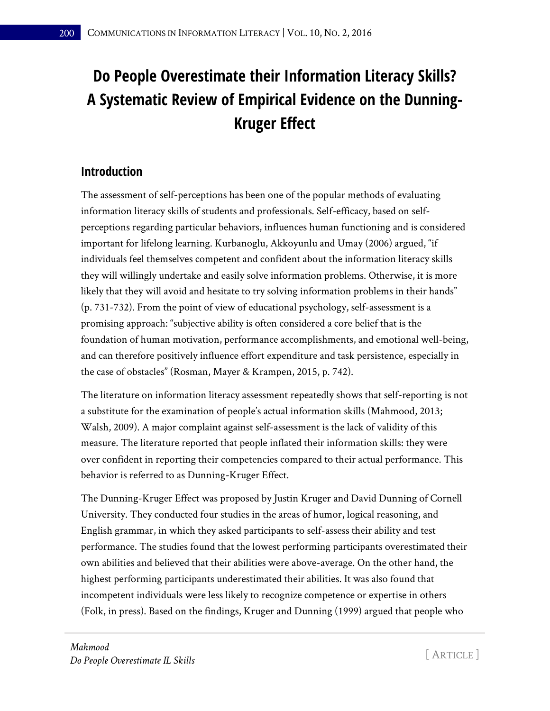# **Do People Overestimate their Information Literacy Skills? A Systematic Review of Empirical Evidence on the Dunning-Kruger Effect**

# **Introduction**

The assessment of self-perceptions has been one of the popular methods of evaluating information literacy skills of students and professionals. Self-efficacy, based on selfperceptions regarding particular behaviors, influences human functioning and is considered important for lifelong learning. Kurbanoglu, Akkoyunlu and Umay (2006) argued, "if individuals feel themselves competent and confident about the information literacy skills they will willingly undertake and easily solve information problems. Otherwise, it is more likely that they will avoid and hesitate to try solving information problems in their hands" (p. 731-732). From the point of view of educational psychology, self-assessment is a promising approach: "subjective ability is often considered a core belief that is the foundation of human motivation, performance accomplishments, and emotional well-being, and can therefore positively influence effort expenditure and task persistence, especially in the case of obstacles" (Rosman, Mayer & Krampen, 2015, p. 742).

The literature on information literacy assessment repeatedly shows that self-reporting is not a substitute for the examination of people's actual information skills (Mahmood, 2013; Walsh, 2009). A major complaint against self-assessment is the lack of validity of this measure. The literature reported that people inflated their information skills: they were over confident in reporting their competencies compared to their actual performance. This behavior is referred to as Dunning-Kruger Effect.

The Dunning-Kruger Effect was proposed by Justin Kruger and David Dunning of Cornell University. They conducted four studies in the areas of humor, logical reasoning, and English grammar, in which they asked participants to self-assess their ability and test performance. The studies found that the lowest performing participants overestimated their own abilities and believed that their abilities were above-average. On the other hand, the highest performing participants underestimated their abilities. It was also found that incompetent individuals were less likely to recognize competence or expertise in others (Folk, in press). Based on the findings, Kruger and Dunning (1999) argued that people who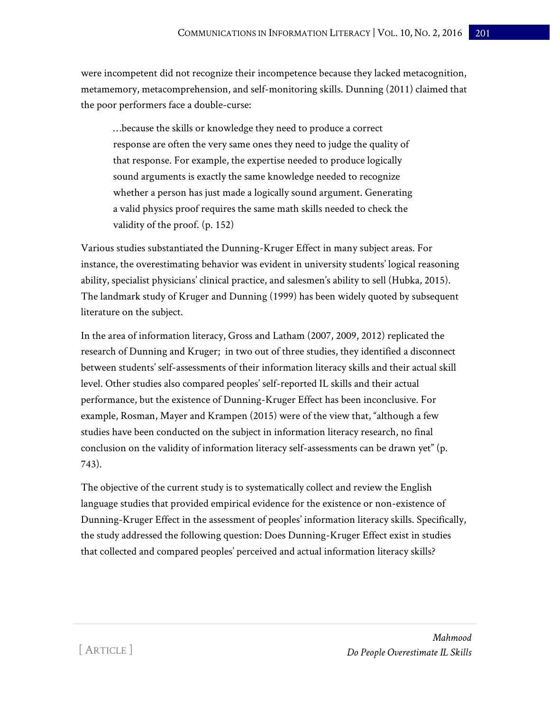were incompetent did not recognize their incompetence because they lacked metacognition, metamemory, metacomprehension, and self-monitoring skills. Dunning (2011) claimed that the poor performers face a double-curse:

…because the skills or knowledge they need to produce a correct response are often the very same ones they need to judge the quality of that response. For example, the expertise needed to produce logically sound arguments is exactly the same knowledge needed to recognize whether a person has just made a logically sound argument. Generating a valid physics proof requires the same math skills needed to check the validity of the proof. (p. 152)

Various studies substantiated the Dunning-Kruger Effect in many subject areas. For instance, the overestimating behavior was evident in university students' logical reasoning ability, specialist physicians' clinical practice, and salesmen's ability to sell (Hubka, 2015). The landmark study of Kruger and Dunning (1999) has been widely quoted by subsequent literature on the subject.

In the area of information literacy, Gross and Latham (2007, 2009, 2012) replicated the research of Dunning and Kruger; in two out of three studies, they identified a disconnect between students' self-assessments of their information literacy skills and their actual skill level. Other studies also compared peoples' self-reported IL skills and their actual performance, but the existence of Dunning-Kruger Effect has been inconclusive. For example, Rosman, Mayer and Krampen (2015) were of the view that, "although a few studies have been conducted on the subject in information literacy research, no final conclusion on the validity of information literacy self-assessments can be drawn yet" (p. 743).

The objective of the current study is to systematically collect and review the English language studies that provided empirical evidence for the existence or non-existence of Dunning-Kruger Effect in the assessment of peoples' information literacy skills. Specifically, the study addressed the following question: Does Dunning-Kruger Effect exist in studies that collected and compared peoples' perceived and actual information literacy skills?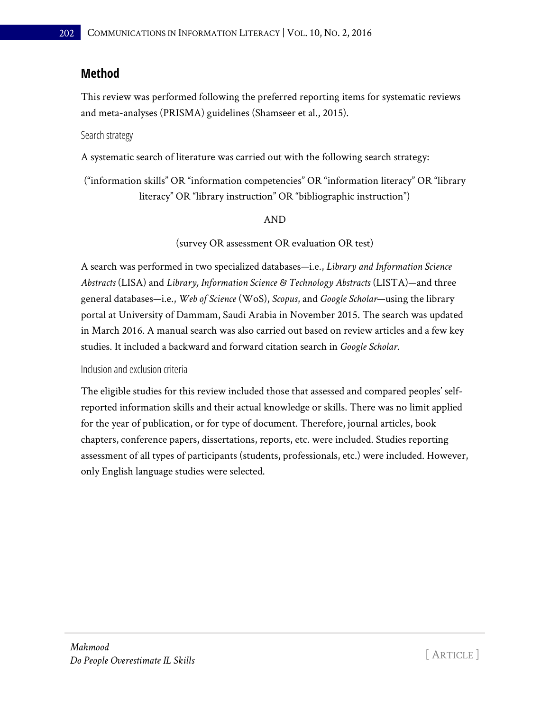## **Method**

This review was performed following the preferred reporting items for systematic reviews and meta-analyses (PRISMA) guidelines (Shamseer et al., 2015).

Search strategy

A systematic search of literature was carried out with the following search strategy:

("information skills" OR "information competencies" OR "information literacy" OR "library literacy" OR "library instruction" OR "bibliographic instruction")

#### AND

(survey OR assessment OR evaluation OR test)

A search was performed in two specialized databases—i.e., *Library and Information Science Abstracts* (LISA) and *Library, Information Science & Technology Abstracts* (LISTA)—and three general databases—i.e., *Web of Science* (WoS), *Scopus*, and *Google Scholar*—using the library portal at University of Dammam, Saudi Arabia in November 2015. The search was updated in March 2016. A manual search was also carried out based on review articles and a few key studies. It included a backward and forward citation search in *Google Scholar*.

Inclusion and exclusion criteria

The eligible studies for this review included those that assessed and compared peoples' selfreported information skills and their actual knowledge or skills. There was no limit applied for the year of publication, or for type of document. Therefore, journal articles, book chapters, conference papers, dissertations, reports, etc. were included. Studies reporting assessment of all types of participants (students, professionals, etc.) were included. However, only English language studies were selected.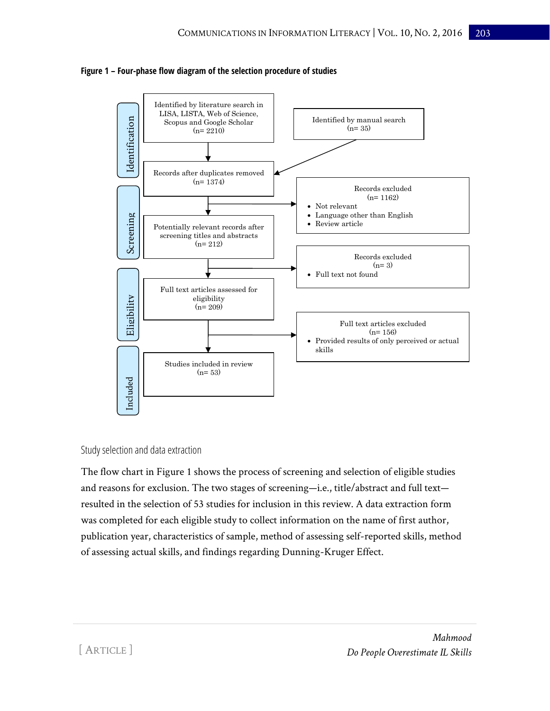



#### Study selection and data extraction

The flow chart in Figure 1 shows the process of screening and selection of eligible studies and reasons for exclusion. The two stages of screening—i.e., title/abstract and full text resulted in the selection of 53 studies for inclusion in this review. A data extraction form was completed for each eligible study to collect information on the name of first author, publication year, characteristics of sample, method of assessing self-reported skills, method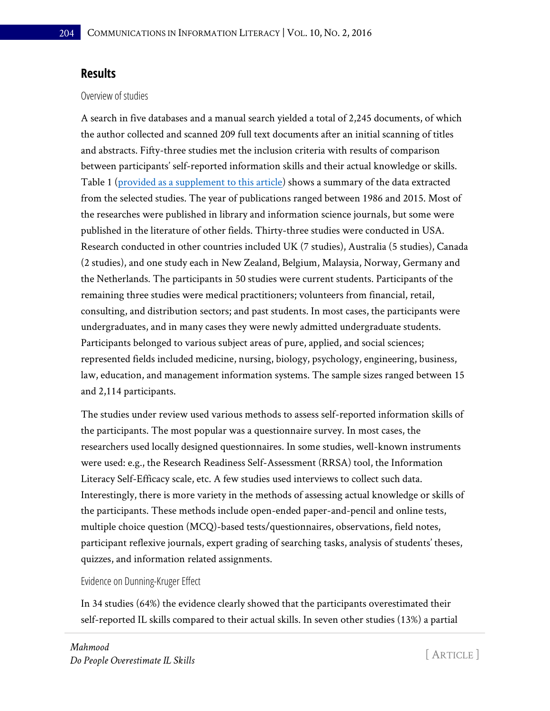## **Results**

### Overview of studies

A search in five databases and a manual search yielded a total of 2,245 documents, of which the author collected and scanned 209 full text documents after an initial scanning of titles and abstracts. Fifty-three studies met the inclusion criteria with results of comparison between participants' self-reported information skills and their actual knowledge or skills. Table 1 [\(provided as a supplement to this article\)](http://www.comminfolit.org/index.php?journal=cil&page=rt&op=suppFiles&path%5b%5d=385&path%5b%5d=0) shows a summary of the data extracted from the selected studies. The year of publications ranged between 1986 and 2015. Most of the researches were published in library and information science journals, but some were published in the literature of other fields. Thirty-three studies were conducted in USA. Research conducted in other countries included UK (7 studies), Australia (5 studies), Canada (2 studies), and one study each in New Zealand, Belgium, Malaysia, Norway, Germany and the Netherlands. The participants in 50 studies were current students. Participants of the remaining three studies were medical practitioners; volunteers from financial, retail, consulting, and distribution sectors; and past students. In most cases, the participants were undergraduates, and in many cases they were newly admitted undergraduate students. Participants belonged to various subject areas of pure, applied, and social sciences; represented fields included medicine, nursing, biology, psychology, engineering, business, law, education, and management information systems. The sample sizes ranged between 15 and 2,114 participants.

The studies under review used various methods to assess self-reported information skills of the participants. The most popular was a questionnaire survey. In most cases, the researchers used locally designed questionnaires. In some studies, well-known instruments were used: e.g., the Research Readiness Self-Assessment (RRSA) tool, the Information Literacy Self-Efficacy scale, etc. A few studies used interviews to collect such data. Interestingly, there is more variety in the methods of assessing actual knowledge or skills of the participants. These methods include open-ended paper-and-pencil and online tests, multiple choice question (MCQ)-based tests/questionnaires, observations, field notes, participant reflexive journals, expert grading of searching tasks, analysis of students' theses, quizzes, and information related assignments.

#### Evidence on Dunning-Kruger Effect

In 34 studies (64%) the evidence clearly showed that the participants overestimated their self-reported IL skills compared to their actual skills. In seven other studies (13%) a partial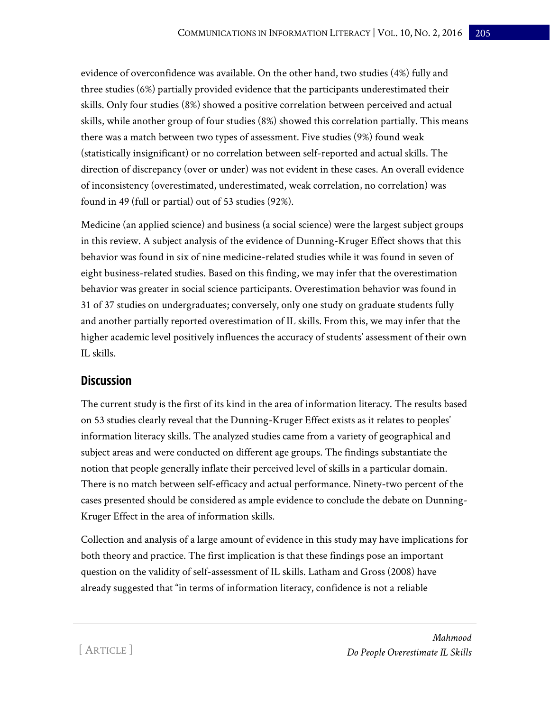evidence of overconfidence was available. On the other hand, two studies (4%) fully and three studies (6%) partially provided evidence that the participants underestimated their skills. Only four studies (8%) showed a positive correlation between perceived and actual skills, while another group of four studies (8%) showed this correlation partially. This means there was a match between two types of assessment. Five studies (9%) found weak (statistically insignificant) or no correlation between self-reported and actual skills. The direction of discrepancy (over or under) was not evident in these cases. An overall evidence of inconsistency (overestimated, underestimated, weak correlation, no correlation) was found in 49 (full or partial) out of 53 studies (92%).

Medicine (an applied science) and business (a social science) were the largest subject groups in this review. A subject analysis of the evidence of Dunning-Kruger Effect shows that this behavior was found in six of nine medicine-related studies while it was found in seven of eight business-related studies. Based on this finding, we may infer that the overestimation behavior was greater in social science participants. Overestimation behavior was found in 31 of 37 studies on undergraduates; conversely, only one study on graduate students fully and another partially reported overestimation of IL skills. From this, we may infer that the higher academic level positively influences the accuracy of students' assessment of their own IL skills.

## **Discussion**

The current study is the first of its kind in the area of information literacy. The results based on 53 studies clearly reveal that the Dunning-Kruger Effect exists as it relates to peoples' information literacy skills. The analyzed studies came from a variety of geographical and subject areas and were conducted on different age groups. The findings substantiate the notion that people generally inflate their perceived level of skills in a particular domain. There is no match between self-efficacy and actual performance. Ninety-two percent of the cases presented should be considered as ample evidence to conclude the debate on Dunning-Kruger Effect in the area of information skills.

Collection and analysis of a large amount of evidence in this study may have implications for both theory and practice. The first implication is that these findings pose an important question on the validity of self-assessment of IL skills. Latham and Gross (2008) have already suggested that "in terms of information literacy, confidence is not a reliable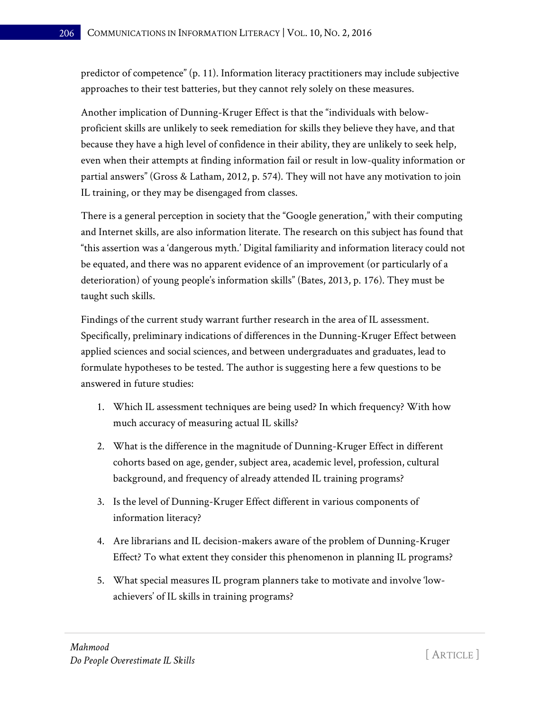predictor of competence" (p. 11). Information literacy practitioners may include subjective approaches to their test batteries, but they cannot rely solely on these measures.

Another implication of Dunning-Kruger Effect is that the "individuals with belowproficient skills are unlikely to seek remediation for skills they believe they have, and that because they have a high level of confidence in their ability, they are unlikely to seek help, even when their attempts at finding information fail or result in low-quality information or partial answers" (Gross & Latham, 2012, p. 574). They will not have any motivation to join IL training, or they may be disengaged from classes.

There is a general perception in society that the "Google generation," with their computing and Internet skills, are also information literate. The research on this subject has found that "this assertion was a 'dangerous myth.' Digital familiarity and information literacy could not be equated, and there was no apparent evidence of an improvement (or particularly of a deterioration) of young people's information skills" (Bates, 2013, p. 176). They must be taught such skills.

Findings of the current study warrant further research in the area of IL assessment. Specifically, preliminary indications of differences in the Dunning-Kruger Effect between applied sciences and social sciences, and between undergraduates and graduates, lead to formulate hypotheses to be tested. The author is suggesting here a few questions to be answered in future studies:

- 1. Which IL assessment techniques are being used? In which frequency? With how much accuracy of measuring actual IL skills?
- 2. What is the difference in the magnitude of Dunning-Kruger Effect in different cohorts based on age, gender, subject area, academic level, profession, cultural background, and frequency of already attended IL training programs?
- 3. Is the level of Dunning-Kruger Effect different in various components of information literacy?
- 4. Are librarians and IL decision-makers aware of the problem of Dunning-Kruger Effect? To what extent they consider this phenomenon in planning IL programs?
- 5. What special measures IL program planners take to motivate and involve 'lowachievers' of IL skills in training programs?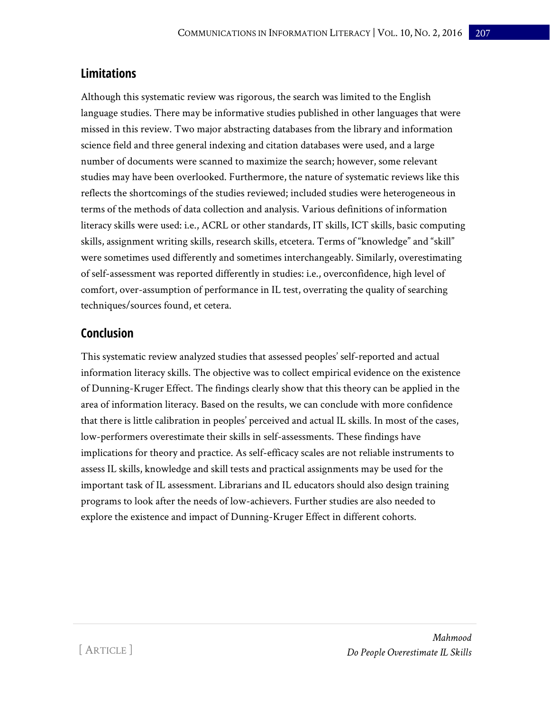## **Limitations**

Although this systematic review was rigorous, the search was limited to the English language studies. There may be informative studies published in other languages that were missed in this review. Two major abstracting databases from the library and information science field and three general indexing and citation databases were used, and a large number of documents were scanned to maximize the search; however, some relevant studies may have been overlooked. Furthermore, the nature of systematic reviews like this reflects the shortcomings of the studies reviewed; included studies were heterogeneous in terms of the methods of data collection and analysis. Various definitions of information literacy skills were used: i.e., ACRL or other standards, IT skills, ICT skills, basic computing skills, assignment writing skills, research skills, etcetera. Terms of "knowledge" and "skill" were sometimes used differently and sometimes interchangeably. Similarly, overestimating of self-assessment was reported differently in studies: i.e., overconfidence, high level of comfort, over-assumption of performance in IL test, overrating the quality of searching techniques/sources found, et cetera.

## **Conclusion**

This systematic review analyzed studies that assessed peoples' self-reported and actual information literacy skills. The objective was to collect empirical evidence on the existence of Dunning-Kruger Effect. The findings clearly show that this theory can be applied in the area of information literacy. Based on the results, we can conclude with more confidence that there is little calibration in peoples' perceived and actual IL skills. In most of the cases, low-performers overestimate their skills in self-assessments. These findings have implications for theory and practice. As self-efficacy scales are not reliable instruments to assess IL skills, knowledge and skill tests and practical assignments may be used for the important task of IL assessment. Librarians and IL educators should also design training programs to look after the needs of low-achievers. Further studies are also needed to explore the existence and impact of Dunning-Kruger Effect in different cohorts.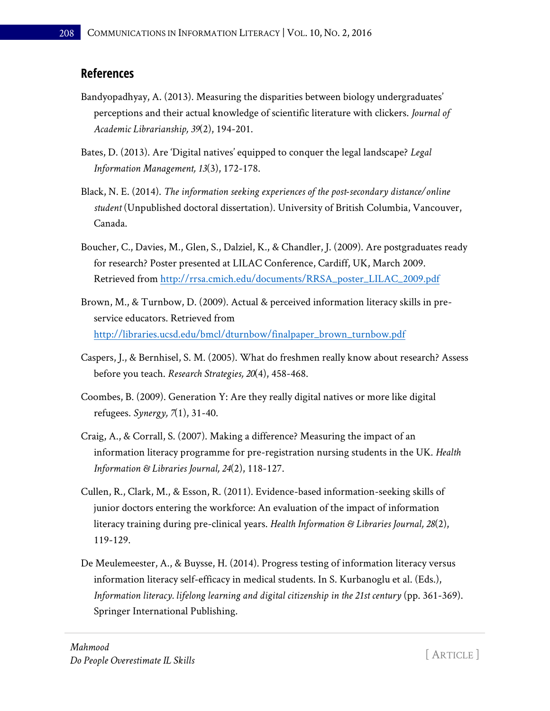## **References**

- Bandyopadhyay, A. (2013). Measuring the disparities between biology undergraduates' perceptions and their actual knowledge of scientific literature with clickers. *Journal of Academic Librarianship, 39*(2), 194-201.
- Bates, D. (2013). Are 'Digital natives' equipped to conquer the legal landscape? *Legal Information Management, 13*(3), 172-178.
- Black, N. E. (2014). *The information seeking experiences of the post-secondary distance/online student* (Unpublished doctoral dissertation). University of British Columbia, Vancouver, Canada.
- Boucher, C., Davies, M., Glen, S., Dalziel, K., & Chandler, J. (2009). Are postgraduates ready for research? Poster presented at LILAC Conference, Cardiff, UK, March 2009. Retrieved from [http://rrsa.cmich.edu/documents/RRSA\\_poster\\_LILAC\\_2009.pdf](http://rrsa.cmich.edu/documents/RRSA_poster_LILAC_2009.pdf)
- Brown, M., & Turnbow, D. (2009). Actual & perceived information literacy skills in preservice educators. Retrieved from [http://libraries.ucsd.edu/bmcl/dturnbow/finalpaper\\_brown\\_turnbow.pdf](http://libraries.ucsd.edu/bmcl/dturnbow/finalpaper_brown_turnbow.pdf)
- Caspers, J., & Bernhisel, S. M. (2005). What do freshmen really know about research? Assess before you teach. *Research Strategies, 20*(4), 458-468.
- Coombes, B. (2009). Generation Y: Are they really digital natives or more like digital refugees. *Synergy, 7*(1), 31-40.
- Craig, A., & Corrall, S. (2007). Making a difference? Measuring the impact of an information literacy programme for pre-registration nursing students in the UK. *Health Information & Libraries Journal, 24*(2), 118-127.
- Cullen, R., Clark, M., & Esson, R. (2011). Evidence-based information-seeking skills of junior doctors entering the workforce: An evaluation of the impact of information literacy training during pre-clinical years. *Health Information & Libraries Journal, 28*(2), 119-129.
- De Meulemeester, A., & Buysse, H. (2014). Progress testing of information literacy versus information literacy self-efficacy in medical students. In S. Kurbanoglu et al. (Eds.), *Information literacy. lifelong learning and digital citizenship in the 21st century* (pp. 361-369). Springer International Publishing.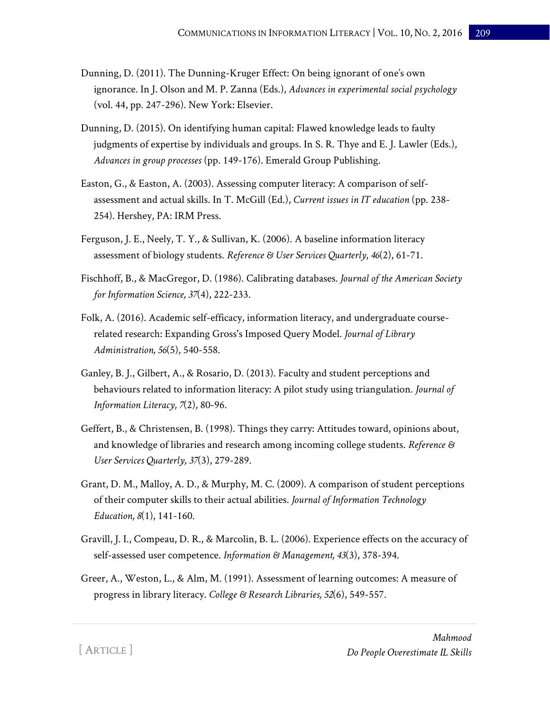- Dunning, D. (2011). The Dunning-Kruger Effect: On being ignorant of one's own ignorance. In J. Olson and M. P. Zanna (Eds.), *Advances in experimental social psychology* (vol. 44, pp. 247-296). New York: Elsevier.
- Dunning, D. (2015). On identifying human capital: Flawed knowledge leads to faulty judgments of expertise by individuals and groups. In S. R. Thye and E. J. Lawler (Eds.), *Advances in group processes* (pp. 149-176). Emerald Group Publishing.
- Easton, G., & Easton, A. (2003). Assessing computer literacy: A comparison of selfassessment and actual skills. In T. McGill (Ed.), *Current issues in IT education* (pp. 238- 254). Hershey, PA: IRM Press.
- Ferguson, J. E., Neely, T. Y., & Sullivan, K. (2006). A baseline information literacy assessment of biology students. *Reference & User Services Quarterly, 46*(2), 61-71.
- Fischhoff, B., & MacGregor, D. (1986). Calibrating databases. *Journal of the American Society for Information Science, 37*(4), 222-233.
- Folk, A. (2016). Academic self-efficacy, information literacy, and undergraduate courserelated research: Expanding Gross's Imposed Query Model. *Journal of Library Administration, 56*(5), 540-558.
- Ganley, B. J., Gilbert, A., & Rosario, D. (2013). Faculty and student perceptions and behaviours related to information literacy: A pilot study using triangulation. *Journal of Information Literacy, 7*(2), 80-96.
- Geffert, B., & Christensen, B. (1998). Things they carry: Attitudes toward, opinions about, and knowledge of libraries and research among incoming college students. *Reference & User Services Quarterly, 37*(3), 279-289.
- Grant, D. M., Malloy, A. D., & Murphy, M. C. (2009). A comparison of student perceptions of their computer skills to their actual abilities. *Journal of Information Technology Education, 8*(1), 141-160.
- Gravill, J. I., Compeau, D. R., & Marcolin, B. L. (2006). Experience effects on the accuracy of self-assessed user competence. *Information & Management, 43*(3), 378-394.
- Greer, A., Weston, L., & Alm, M. (1991). Assessment of learning outcomes: A measure of progress in library literacy. *College & Research Libraries, 52*(6), 549-557.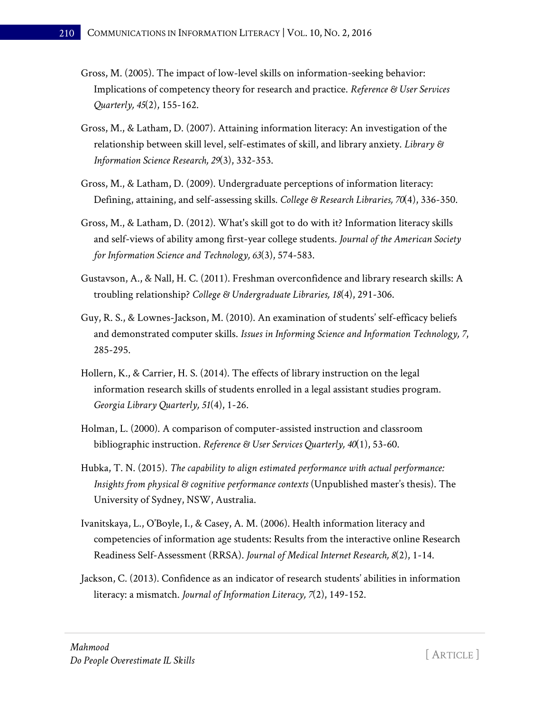- Gross, M. (2005). The impact of low-level skills on information-seeking behavior: Implications of competency theory for research and practice. *Reference & User Services Quarterly, 45*(2), 155-162.
- Gross, M., & Latham, D. (2007). Attaining information literacy: An investigation of the relationship between skill level, self-estimates of skill, and library anxiety. *Library & Information Science Research, 29*(3), 332-353.
- Gross, M., & Latham, D. (2009). Undergraduate perceptions of information literacy: Defining, attaining, and self-assessing skills. *College & Research Libraries, 70*(4), 336-350.
- Gross, M., & Latham, D. (2012). What's skill got to do with it? Information literacy skills and self-views of ability among first-year college students. *Journal of the American Society for Information Science and Technology, 63*(3), 574-583.
- Gustavson, A., & Nall, H. C. (2011). Freshman overconfidence and library research skills: A troubling relationship? *College & Undergraduate Libraries, 18*(4), 291-306.
- Guy, R. S., & Lownes-Jackson, M. (2010). An examination of students' self-efficacy beliefs and demonstrated computer skills. *Issues in Informing Science and Information Technology, 7*, 285-295.
- Hollern, K., & Carrier, H. S. (2014). The effects of library instruction on the legal information research skills of students enrolled in a legal assistant studies program. *Georgia Library Quarterly, 51*(4), 1-26.
- Holman, L. (2000). A comparison of computer-assisted instruction and classroom bibliographic instruction. *Reference & User Services Quarterly, 40*(1), 53-60.
- Hubka, T. N. (2015). *The capability to align estimated performance with actual performance: Insights from physical & cognitive performance contexts* (Unpublished master's thesis). The University of Sydney, NSW, Australia.
- Ivanitskaya, L., O'Boyle, I., & Casey, A. M. (2006). Health information literacy and competencies of information age students: Results from the interactive online Research Readiness Self-Assessment (RRSA). *Journal of Medical Internet Research, 8*(2), 1-14.
- Jackson, C. (2013). Confidence as an indicator of research students' abilities in information literacy: a mismatch. *Journal of Information Literacy, 7*(2), 149-152.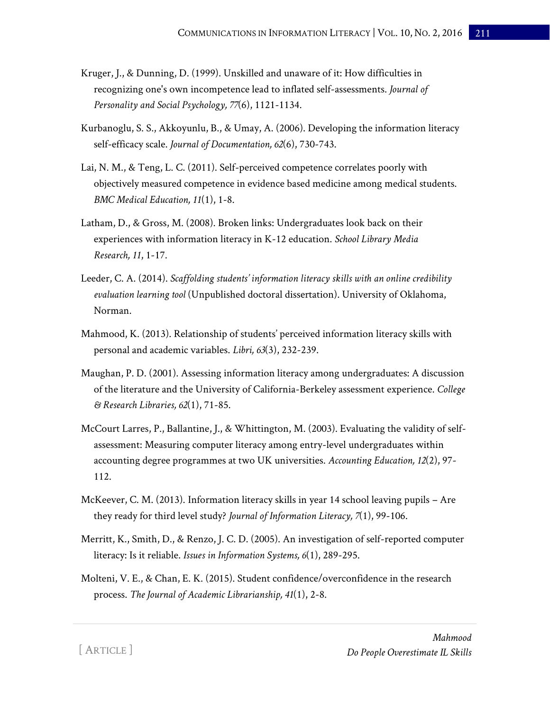- Kruger, J., & Dunning, D. (1999). Unskilled and unaware of it: How difficulties in recognizing one's own incompetence lead to inflated self-assessments. *Journal of Personality and Social Psychology, 77*(6), 1121-1134.
- Kurbanoglu, S. S., Akkoyunlu, B., & Umay, A. (2006). Developing the information literacy self-efficacy scale. *Journal of Documentation, 62*(6), 730-743.
- Lai, N. M., & Teng, L. C. (2011). Self-perceived competence correlates poorly with objectively measured competence in evidence based medicine among medical students. *BMC Medical Education, 11*(1), 1-8.
- Latham, D., & Gross, M. (2008). Broken links: Undergraduates look back on their experiences with information literacy in K-12 education. *School Library Media Research, 11*, 1-17.
- Leeder, C. A. (2014). *Scaffolding students' information literacy skills with an online credibility evaluation learning tool* (Unpublished doctoral dissertation). University of Oklahoma, Norman.
- Mahmood, K. (2013). Relationship of students' perceived information literacy skills with personal and academic variables. *Libri, 63*(3), 232-239.
- Maughan, P. D. (2001). Assessing information literacy among undergraduates: A discussion of the literature and the University of California-Berkeley assessment experience. *College & Research Libraries, 62*(1), 71-85.
- McCourt Larres, P., Ballantine, J., & Whittington, M. (2003). Evaluating the validity of selfassessment: Measuring computer literacy among entry-level undergraduates within accounting degree programmes at two UK universities. *Accounting Education, 12*(2), 97- 112.
- McKeever, C. M. (2013). Information literacy skills in year 14 school leaving pupils Are they ready for third level study? *Journal of Information Literacy, 7*(1), 99-106.
- Merritt, K., Smith, D., & Renzo, J. C. D. (2005). An investigation of self-reported computer literacy: Is it reliable. *Issues in Information Systems, 6*(1), 289-295.
- Molteni, V. E., & Chan, E. K. (2015). Student confidence/overconfidence in the research process. *The Journal of Academic Librarianship, 41*(1), 2-8.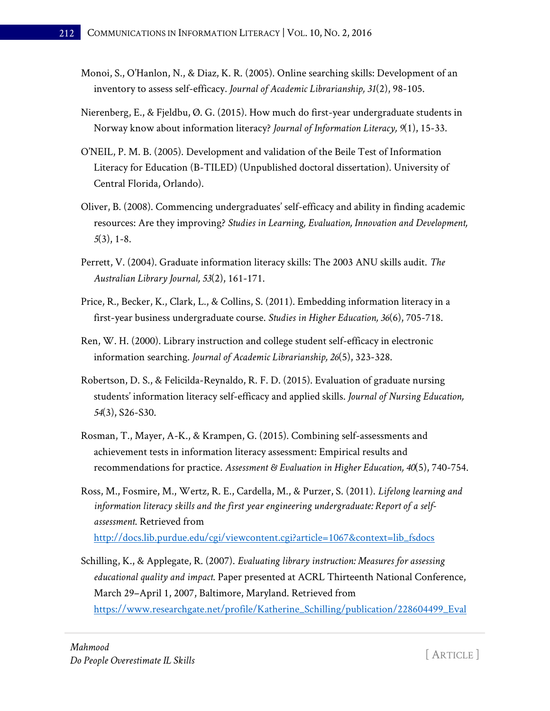- Monoi, S., O'Hanlon, N., & Diaz, K. R. (2005). Online searching skills: Development of an inventory to assess self-efficacy. *Journal of Academic Librarianship, 31*(2), 98-105.
- Nierenberg, E., & Fjeldbu, Ø. G. (2015). How much do first-year undergraduate students in Norway know about information literacy? *Journal of Information Literacy, 9*(1), 15-33.
- O'NEIL, P. M. B. (2005). Development and validation of the Beile Test of Information Literacy for Education (B-TILED) (Unpublished doctoral dissertation). University of Central Florida, Orlando).
- Oliver, B. (2008). Commencing undergraduates' self-efficacy and ability in finding academic resources: Are they improving? *Studies in Learning, Evaluation, Innovation and Development, 5*(3), 1-8.
- Perrett, V. (2004). Graduate information literacy skills: The 2003 ANU skills audit. *The Australian Library Journal, 53*(2), 161-171.
- Price, R., Becker, K., Clark, L., & Collins, S. (2011). Embedding information literacy in a first-year business undergraduate course. *Studies in Higher Education, 36*(6), 705-718.
- Ren, W. H. (2000). Library instruction and college student self-efficacy in electronic information searching. *Journal of Academic Librarianship, 26*(5), 323-328.
- Robertson, D. S., & Felicilda-Reynaldo, R. F. D. (2015). Evaluation of graduate nursing students' information literacy self-efficacy and applied skills. *Journal of Nursing Education, 54*(3), S26-S30.
- Rosman, T., Mayer, A-K., & Krampen, G. (2015). Combining self-assessments and achievement tests in information literacy assessment: Empirical results and recommendations for practice. *Assessment & Evaluation in Higher Education, 40*(5), 740-754.
- Ross, M., Fosmire, M., Wertz, R. E., Cardella, M., & Purzer, S. (2011). *Lifelong learning and information literacy skills and the first year engineering undergraduate: Report of a selfassessment*. Retrieved from [http://docs.lib.purdue.edu/cgi/viewcontent.cgi?article=1067&context=lib\\_fsdocs](http://docs.lib.purdue.edu/cgi/viewcontent.cgi?article=1067&context=lib_fsdocs)
- Schilling, K., & Applegate, R. (2007). *Evaluating library instruction: Measures for assessing educational quality and impact*. Paper presented at ACRL Thirteenth National Conference, March 29–April 1, 2007, Baltimore, Maryland. Retrieved from [https://www.researchgate.net/profile/Katherine\\_Schilling/publication/228604499\\_Eval](https://www.researchgate.net/profile/Katherine_Schilling/publication/228604499_Evaluating_library_instruction_measures_for_assessing_educational_quality_and_impact/links/00b49534eb2356c644000000.pdf)